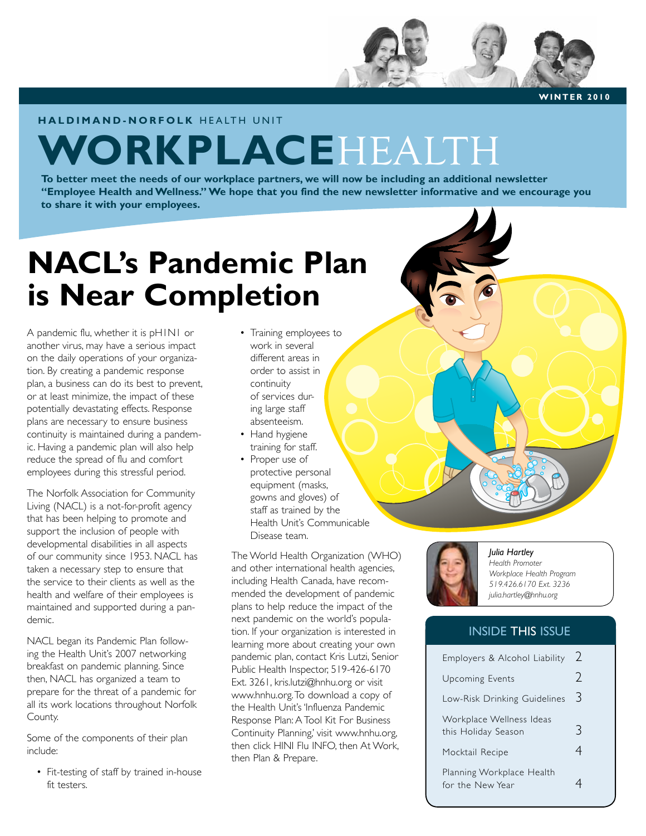

**HALDIMAND-NORFOLK HEALTH UNIT** 

# **WORKPLACE**HEALTH

**To better meet the needs of our workplace partners, we will now be including an additional newsletter "Employee Health and Wellness." We hope that you find the new newsletter informative and we encourage you to share it with your employees.**

## **NACL's Pandemic Plan is Near Completion**

A pandemic flu, whether it is pH1N1 or another virus, may have a serious impact on the daily operations of your organization. By creating a pandemic response plan, a business can do its best to prevent, or at least minimize, the impact of these potentially devastating effects. Response plans are necessary to ensure business continuity is maintained during a pandemic. Having a pandemic plan will also help reduce the spread of flu and comfort employees during this stressful period.

The Norfolk Association for Community Living (NACL) is a not-for-profit agency that has been helping to promote and support the inclusion of people with developmental disabilities in all aspects of our community since 1953. NACL has taken a necessary step to ensure that the service to their clients as well as the health and welfare of their employees is maintained and supported during a pandemic.

NACL began its Pandemic Plan following the Health Unit's 2007 networking breakfast on pandemic planning. Since then, NACL has organized a team to prepare for the threat of a pandemic for all its work locations throughout Norfolk County.

Some of the components of their plan include:

• Fit-testing of staff by trained in-house fit testers.

- Training employees to work in several different areas in order to assist in continuity of services during large staff absenteeism.
- Hand hygiene training for staff.
- Proper use of protective personal equipment (masks, gowns and gloves) of staff as trained by the Health Unit's Communicable Disease team.

The World Health Organization (WHO) and other international health agencies, including Health Canada, have recommended the development of pandemic plans to help reduce the impact of the next pandemic on the world's population. If your organization is interested in learning more about creating your own pandemic plan, contact Kris Lutzi, Senior Public Health Inspector, 519-426-6170 Ext. 3261, kris.lutzi@hnhu.org or visit www.hnhu.org. To download a copy of the Health Unit's 'Influenza Pandemic Response Plan: A Tool Kit For Business Continuity Planning,' visit www.hnhu.org, then click HINI Flu INFO, then At Work, then Plan & Prepare.



### *Julia Hartley*

*Health Promoter Workplace Health Program 519.426.6170 Ext. 3236 julia.hartley@hnhu.org*

## INSIDE THIS ISSUE

| Employers & Alcohol Liability                   | $\mathcal{L}$ |
|-------------------------------------------------|---------------|
| <b>Upcoming Events</b>                          | D             |
| Low-Risk Drinking Guidelines                    | 3             |
| Workplace Wellness Ideas<br>this Holiday Season | ≺             |
| Mocktail Recipe                                 | 4             |
| Planning Workplace Health<br>for the New Year   |               |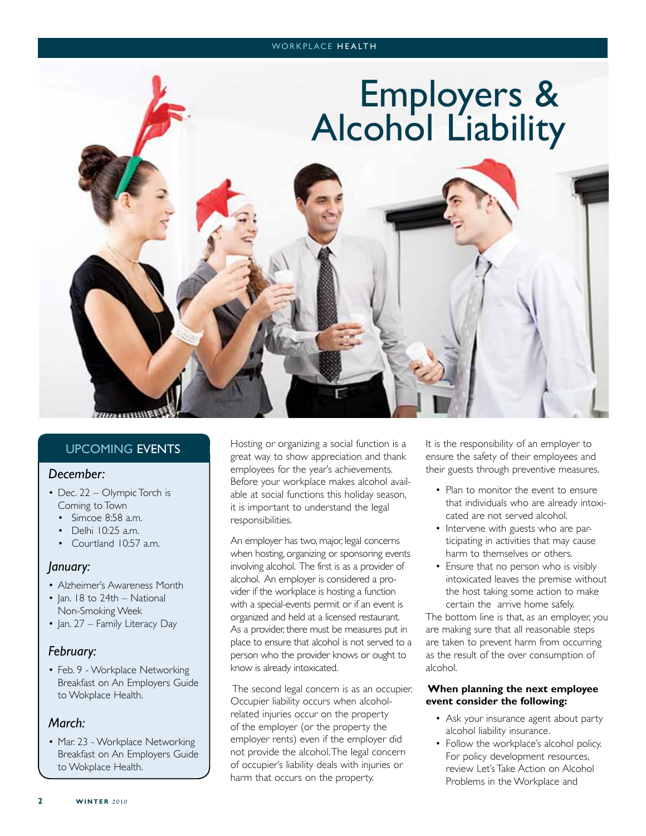### WORKPLACE HEALTH

## Employers & Alcohol Liability

## UPCOMING EVENTS

## *December:*

- Dec. 22 Olympic Torch is Coming to Town
	- Simcoe 8:58 a.m.
	- Delhi 10:25 a.m.
	- Courtland 10:57 a.m.

## *January:*

- Alzheimer's Awareness Month
- Jan. 18 to 24th National Non-Smoking Week
- Jan. 27 Family Literacy Day

## *February:*

• Feb. 9 - Workplace Networking Breakfast on An Employers Guide to Wokplace Health.

## *March:*

• Mar. 23 - Workplace Networking Breakfast on An Employers Guide to Wokplace Health.

Hosting or organizing a social function is a great way to show appreciation and thank employees for the year's achievements. Before your workplace makes alcohol available at social functions this holiday season, it is important to understand the legal responsibilities.

An employer has two, major, legal concerns when hosting, organizing or sponsoring events involving alcohol. The first is as a provider of alcohol. An employer is considered a provider if the workplace is hosting a function with a special-events permit or if an event is organized and held at a licensed restaurant. As a provider, there must be measures put in place to ensure that alcohol is not served to a person who the provider knows or ought to know is already intoxicated.

 The second legal concern is as an occupier. Occupier liability occurs when alcoholrelated injuries occur on the property of the employer (or the property the employer rents) even if the employer did not provide the alcohol. The legal concern of occupier's liability deals with injuries or harm that occurs on the property.

It is the responsibility of an employer to ensure the safety of their employees and their guests through preventive measures.

- Plan to monitor the event to ensure that individuals who are already intoxicated are not served alcohol.
- Intervene with guests who are participating in activities that may cause harm to themselves or others.
- Ensure that no person who is visibly intoxicated leaves the premise without the host taking some action to make certain the arrive home safely.

The bottom line is that, as an employer, you are making sure that all reasonable steps are taken to prevent harm from occurring as the result of the over consumption of alcohol.

## **When planning the next employee event consider the following:**

- Ask your insurance agent about party alcohol liability insurance.
- Follow the workplace's alcohol policy. For policy development resources, review Let's Take Action on Alcohol Problems in the Workplace and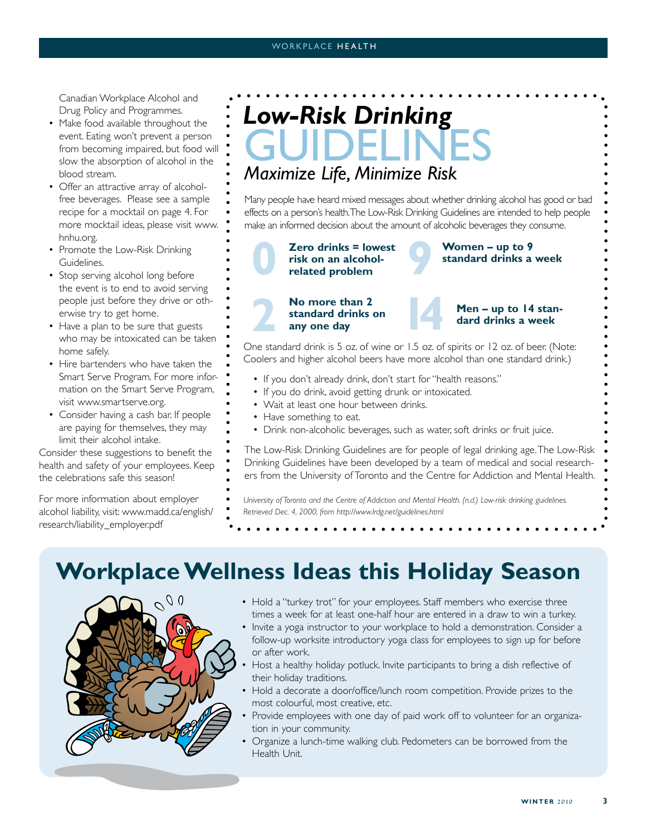Canadian Workplace Alcohol and Drug Policy and Programmes.

- Make food available throughout the event. Eating won't prevent a person from becoming impaired, but food will slow the absorption of alcohol in the blood stream.
- Offer an attractive array of alcoholfree beverages. Please see a sample recipe for a mocktail on page 4. For more mocktail ideas, please visit www. hnhu.org.
- Promote the Low-Risk Drinking Guidelines.
- Stop serving alcohol long before the event is to end to avoid serving people just before they drive or otherwise try to get home.
- Have a plan to be sure that guests who may be intoxicated can be taken home safely.
- Hire bartenders who have taken the Smart Serve Program. For more information on the Smart Serve Program, visit www.smartserve.org.
- Consider having a cash bar. If people are paying for themselves, they may limit their alcohol intake.

Consider these suggestions to benefit the health and safety of your employees. Keep the celebrations safe this season!

For more information about employer alcohol liability, visit: www.madd.ca/english/ research/liability\_employer.pdf

## **GUIDELINES** *Low-Risk Drinking*

## *Maximize Life, Minimize Risk*

Many people have heard mixed messages about whether drinking alcohol has good or bad effects on a person's health. The Low-Risk Drinking Guidelines are intended to help people make an informed decision about the amount of alcoholic beverages they consume.

**Zero drinks = lowest risk on an alcoholrelated problem**

### **Women – up to 9 standard drinks a week**

### **No more than 2 standard drinks on any one day**



### **Men – up to 14 standard drinks a week**

One standard drink is 5 oz. of wine or 1.5 oz. of spirits or 12 oz. of beer. (Note: Coolers and higher alcohol beers have more alcohol than one standard drink.)

- If you don't already drink, don't start for "health reasons."
- If you do drink, avoid getting drunk or intoxicated.
- Wait at least one hour between drinks.
- Have something to eat.
- Drink non-alcoholic beverages, such as water, soft drinks or fruit juice.

The Low-Risk Drinking Guidelines are for people of legal drinking age. The Low-Risk Drinking Guidelines have been developed by a team of medical and social researchers from the University of Toronto and the Centre for Addiction and Mental Health.

*University of Toronto and the Centre of Addiction and Mental Health. (n.d.) Low-risk drinking guidelines. Retrieved Dec. 4, 2000, from http://www.lrdg.net/guidelines.html*

## **Workplace Wellness Ideas this Holiday Season**



- Hold a "turkey trot" for your employees. Staff members who exercise three times a week for at least one-half hour are entered in a draw to win a turkey.
- Invite a yoga instructor to your workplace to hold a demonstration. Consider a follow-up worksite introductory yoga class for employees to sign up for before or after work.
- Host a healthy holiday potluck. Invite participants to bring a dish reflective of their holiday traditions.
- Hold a decorate a door/office/lunch room competition. Provide prizes to the most colourful, most creative, etc.
- Provide employees with one day of paid work off to volunteer for an organization in your community.
- Organize a lunch-time walking club. Pedometers can be borrowed from the Health Unit.